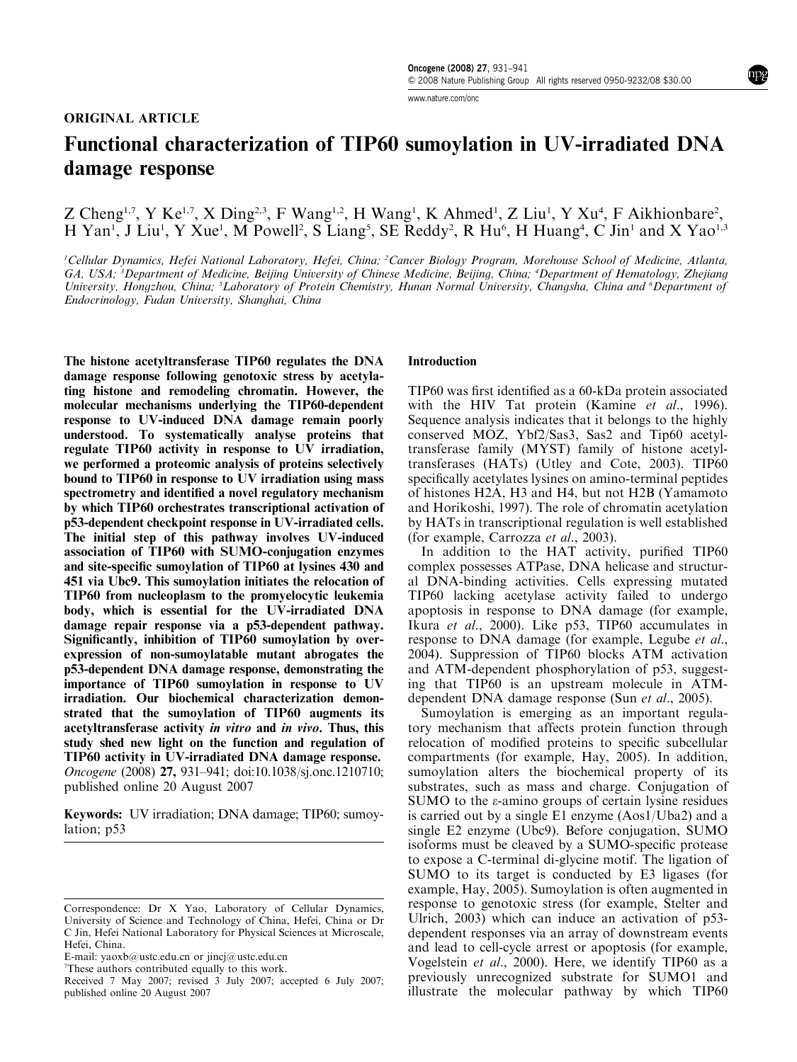www.nature.com/onc

# Functional characterization of TIP60 sumoylation in UV-irradiated DNA damage response

Z Cheng<sup>1,7</sup>, Y Ke<sup>1,7</sup>, X Ding<sup>2,3</sup>, F Wang<sup>1,2</sup>, H Wang<sup>1</sup>, K Ahmed<sup>1</sup>, Z Liu<sup>1</sup>, Y Xu<sup>4</sup>, F Aikhionbare<sup>2</sup>, H Yan<sup>1</sup>, J Liu<sup>1</sup>, Y Xue<sup>1</sup>, M Powell<sup>2</sup>, S Liang<sup>5</sup>, SE Reddy<sup>2</sup>, R Hu<sup>6</sup>, H Huang<sup>4</sup>, C Jin<sup>1</sup> and X Yao<sup>1,3</sup>

<sup>1</sup>Cellular Dynamics, Hefei National Laboratory, Hefei, China; <sup>2</sup>Cancer Biology Program, Morehouse School of Medicine, Atlanta, GA, USA; <sup>3</sup>Department of Medicine, Beijing University of Chinese Medicine, Beijing, China; <sup>4</sup>Department of Hematology, Zhejiang University, Hongzhou, China; <sup>5</sup>Laboratory of Protein Chemistry, Hunan Normal University, Changsha, China and <sup>6</sup>Department of Endocrinology, Fudan University, Shanghai, China

The histone acetyltransferase TIP60 regulates the DNA damage response following genotoxic stress by acetylating histone and remodeling chromatin. However, the molecular mechanisms underlying the TIP60-dependent response to UV-induced DNA damage remain poorly understood. To systematically analyse proteins that regulate TIP60 activity in response to UV irradiation, we performed a proteomic analysis of proteins selectively bound to TIP60 in response to UV irradiation using mass spectrometry and identified a novel regulatory mechanism by which TIP60 orchestrates transcriptional activation of p53-dependent checkpoint response in UV-irradiated cells. The initial step of this pathway involves UV-induced association of TIP60 with SUMO-conjugation enzymes and site-specific sumoylation of TIP60 at lysines 430 and 451 via Ubc9. This sumoylation initiates the relocation of TIP60 from nucleoplasm to the promyelocytic leukemia body, which is essential for the UV-irradiated DNA damage repair response via a p53-dependent pathway. Significantly, inhibition of TIP60 sumoylation by overexpression of non-sumoylatable mutant abrogates the p53-dependent DNA damage response, demonstrating the importance of TIP60 sumoylation in response to UV irradiation. Our biochemical characterization demonstrated that the sumoylation of TIP60 augments its acetyltransferase activity in vitro and in vivo. Thus, this study shed new light on the function and regulation of TIP60 activity in UV-irradiated DNA damage response. Oncogene (2008) 27, 931–941; doi:10.1038/sj.onc.1210710; published online 20 August 2007

Keywords: UV irradiation; DNA damage; TIP60; sumoylation; p53

#### Introduction

TIP60 was first identified as a 60-kDa protein associated with the HIV Tat protein (Kamine et al., 1996). Sequence analysis indicates that it belongs to the highly conserved MOZ, Ybf2/Sas3, Sas2 and Tip60 acetyltransferase family (MYST) family of histone acetyltransferases (HATs) (Utley and Cote, 2003). TIP60 specifically acetylates lysines on amino-terminal peptides of histones H2A, H3 and H4, but not H2B (Yamamoto and Horikoshi, 1997). The role of chromatin acetylation by HATs in transcriptional regulation is well established (for example, Carrozza et al., 2003).

In addition to the HAT activity, purified TIP60 complex possesses ATPase, DNA helicase and structural DNA-binding activities. Cells expressing mutated TIP60 lacking acetylase activity failed to undergo apoptosis in response to DNA damage (for example, Ikura et al., 2000). Like p53, TIP60 accumulates in response to DNA damage (for example, Legube et al., 2004). Suppression of TIP60 blocks ATM activation and ATM-dependent phosphorylation of p53, suggesting that TIP60 is an upstream molecule in ATMdependent DNA damage response (Sun et al., 2005).

Sumoylation is emerging as an important regulatory mechanism that affects protein function through relocation of modified proteins to specific subcellular compartments (for example, Hay,  $2005$ ). In addition, sumoylation alters the biochemical property of its substrates, such as mass and charge. Conjugation of SUMO to the  $\varepsilon$ -amino groups of certain lysine residues is carried out by a single E1 enzyme (Aos1/Uba2) and a single E2 enzyme (Ubc9). Before conjugation, SUMO isoforms must be cleaved by a SUMO-specific protease to expose a C-terminal di-glycine motif. The ligation of SUMO to its target is conducted by E3 ligases (for example, Hay, 2005). Sumoylation is often augmented in response to genotoxic stress (for example, Stelter and Ulrich, 2003) which can induce an activation of p53 dependent responses via an array of downstream events and lead to cell-cycle arrest or apoptosis (for example, Vogelstein et al., 2000). Here, we identify TIP60 as a previously unrecognized substrate for SUMO1 and illustrate the molecular pathway by which TIP60

Correspondence: Dr X Yao, Laboratory of Cellular Dynamics, University of Science and Technology of China, Hefei, China or Dr C Jin, Hefei National Laboratory for Physical Sciences at Microscale, Hefei, China.

E-mail: yaoxb@ustc.edu.cn or jincj@ustc.edu.cn

<sup>7</sup> These authors contributed equally to this work.

Received 7 May 2007; revised 3 July 2007; accepted 6 July 2007; published online 20 August 2007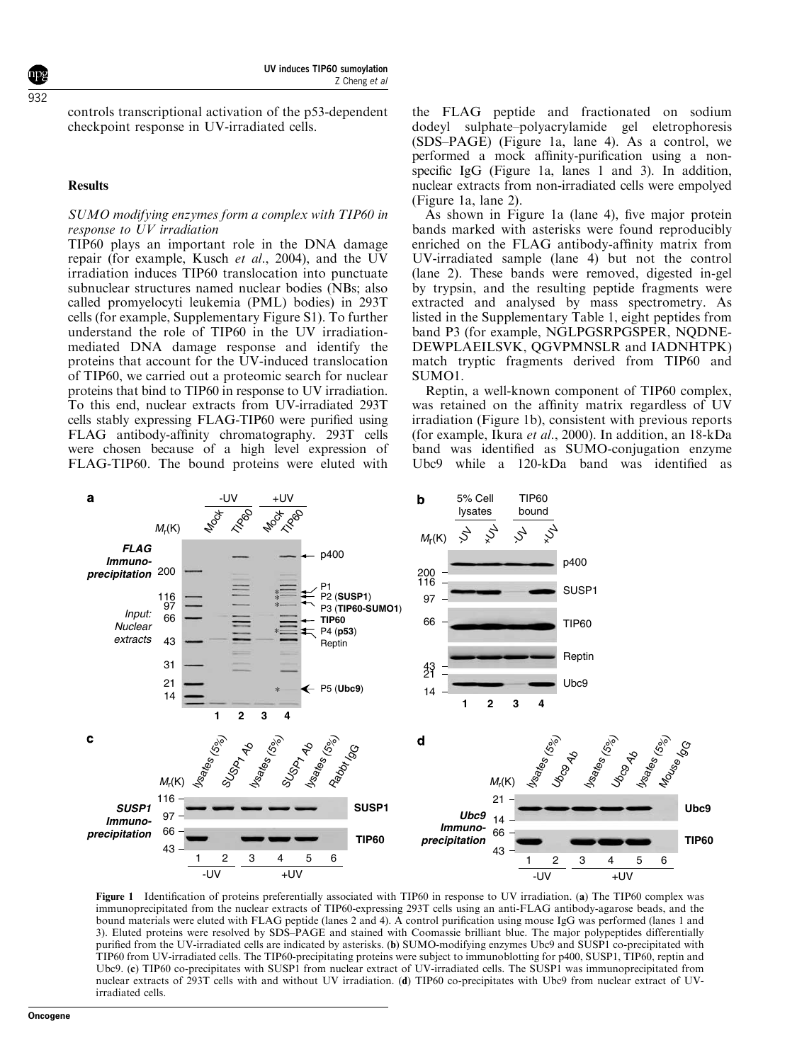controls transcriptional activation of the p53-dependent checkpoint response in UV-irradiated cells.

#### **Results**

#### SUMO modifying enzymes form a complex with TIP60 in response to UV irradiation

TIP60 plays an important role in the DNA damage repair (for example, Kusch et al., 2004), and the UV irradiation induces TIP60 translocation into punctuate subnuclear structures named nuclear bodies (NBs; also called promyelocyti leukemia (PML) bodies) in 293T cells (for example, Supplementary Figure S1). To further understand the role of TIP60 in the UV irradiationmediated DNA damage response and identify the proteins that account for the UV-induced translocation of TIP60, we carried out a proteomic search for nuclear proteins that bind to TIP60 in response to UV irradiation. To this end, nuclear extracts from UV-irradiated 293T cells stably expressing FLAG-TIP60 were purified using FLAG antibody-affinity chromatography. 293T cells were chosen because of a high level expression of FLAG-TIP60. The bound proteins were eluted with

the FLAG peptide and fractionated on sodium dodeyl sulphate–polyacrylamide gel eletrophoresis (SDS–PAGE) (Figure 1a, lane 4). As a control, we performed a mock affinity-purification using a nonspecific IgG (Figure 1a, lanes 1 and 3). In addition, nuclear extracts from non-irradiated cells were empolyed (Figure 1a, lane 2).

As shown in Figure 1a (lane 4), five major protein bands marked with asterisks were found reproducibly enriched on the FLAG antibody-affinity matrix from UV-irradiated sample (lane 4) but not the control (lane 2). These bands were removed, digested in-gel by trypsin, and the resulting peptide fragments were extracted and analysed by mass spectrometry. As listed in the Supplementary Table 1, eight peptides from band P3 (for example, NGLPGSRPGSPER, NQDNE-DEWPLAEILSVK, QGVPMNSLR and IADNHTPK) match tryptic fragments derived from TIP60 and SUMO1.

Reptin, a well-known component of TIP60 complex, was retained on the affinity matrix regardless of UV irradiation (Figure 1b), consistent with previous reports (for example, Ikura et al., 2000). In addition, an 18-kDa band was identified as SUMO-conjugation enzyme Ubc9 while a 120-kDa band was identified as



Figure 1 Identification of proteins preferentially associated with TIP60 in response to UV irradiation. (a) The TIP60 complex was immunoprecipitated from the nuclear extracts of TIP60-expressing 293T cells using an anti-FLAG antibody-agarose beads, and the bound materials were eluted with FLAG peptide (lanes 2 and 4). A control purification using mouse IgG was performed (lanes 1 and 3). Eluted proteins were resolved by SDS–PAGE and stained with Coomassie brilliant blue. The major polypeptides differentially purified from the UV-irradiated cells are indicated by asterisks. (b) SUMO-modifying enzymes Ubc9 and SUSP1 co-precipitated with TIP60 from UV-irradiated cells. The TIP60-precipitating proteins were subject to immunoblotting for p400, SUSP1, TIP60, reptin and Ubc9. (c) TIP60 co-precipitates with SUSP1 from nuclear extract of UV-irradiated cells. The SUSP1 was immunoprecipitated from nuclear extracts of 293T cells with and without UV irradiation. (d) TIP60 co-precipitates with Ubc9 from nuclear extract of UVirradiated cells.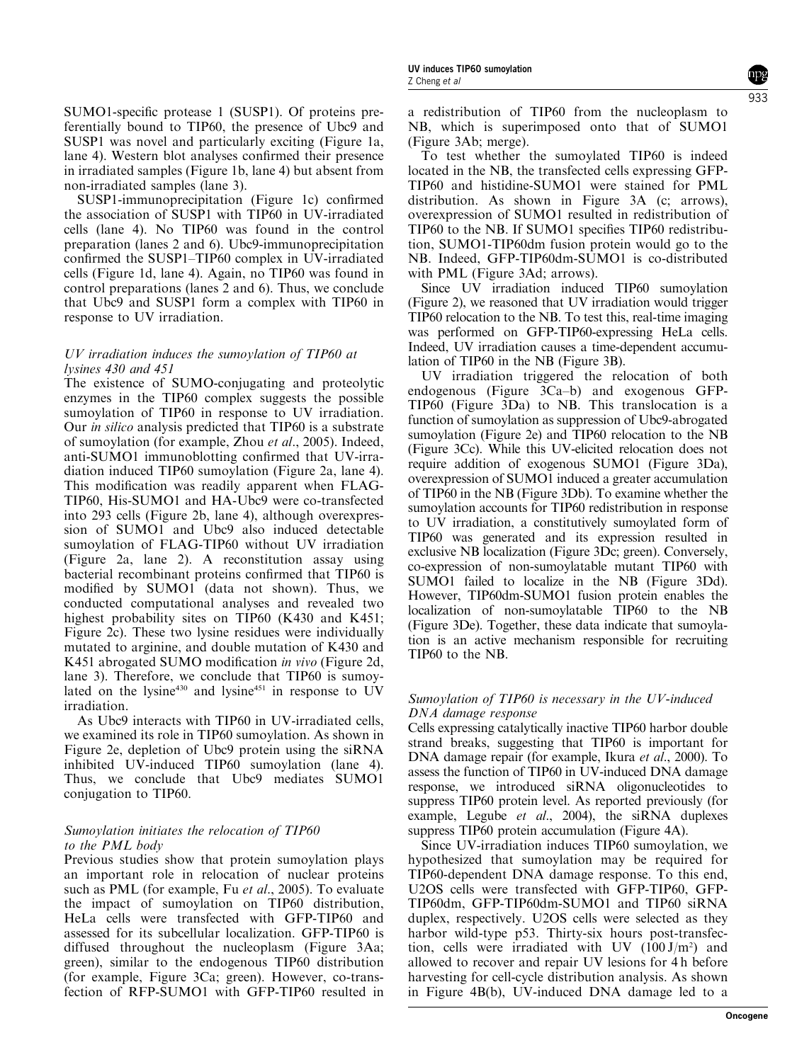SUMO1-specific protease 1 (SUSP1). Of proteins preferentially bound to TIP60, the presence of Ubc9 and SUSP1 was novel and particularly exciting (Figure 1a, lane 4). Western blot analyses confirmed their presence in irradiated samples (Figure 1b, lane 4) but absent from non-irradiated samples (lane 3).

SUSP1-immunoprecipitation (Figure 1c) confirmed the association of SUSP1 with TIP60 in UV-irradiated cells (lane 4). No TIP60 was found in the control preparation (lanes 2 and 6). Ubc9-immunoprecipitation confirmed the SUSP1–TIP60 complex in UV-irradiated cells (Figure 1d, lane 4). Again, no TIP60 was found in control preparations (lanes 2 and 6). Thus, we conclude that Ubc9 and SUSP1 form a complex with TIP60 in response to UV irradiation.

# UV irradiation induces the sumoylation of TIP60 at lysines 430 and 451

The existence of SUMO-conjugating and proteolytic enzymes in the TIP60 complex suggests the possible sumoylation of TIP60 in response to UV irradiation. Our in silico analysis predicted that TIP60 is a substrate of sumoylation (for example, Zhou et al., 2005). Indeed, anti-SUMO1 immunoblotting confirmed that UV-irradiation induced TIP60 sumoylation (Figure 2a, lane 4). This modification was readily apparent when FLAG-TIP60, His-SUMO1 and HA-Ubc9 were co-transfected into 293 cells (Figure 2b, lane 4), although overexpression of SUMO1 and Ubc9 also induced detectable sumoylation of FLAG-TIP60 without UV irradiation (Figure 2a, lane 2). A reconstitution assay using bacterial recombinant proteins confirmed that TIP60 is modified by SUMO1 (data not shown). Thus, we conducted computational analyses and revealed two highest probability sites on TIP60 (K430 and K451; Figure 2c). These two lysine residues were individually mutated to arginine, and double mutation of K430 and K451 abrogated SUMO modification in vivo (Figure 2d, lane 3). Therefore, we conclude that TIP60 is sumoylated on the lysine $430$  and lysine $451$  in response to UV irradiation.

As Ubc9 interacts with TIP60 in UV-irradiated cells, we examined its role in TIP60 sumoylation. As shown in Figure 2e, depletion of Ubc9 protein using the siRNA inhibited UV-induced TIP60 sumoylation (lane 4). Thus, we conclude that Ubc9 mediates SUMO1 conjugation to TIP60.

# Sumoylation initiates the relocation of TIP60 to the PML body

Previous studies show that protein sumoylation plays an important role in relocation of nuclear proteins such as PML (for example, Fu et al., 2005). To evaluate the impact of sumoylation on TIP60 distribution, HeLa cells were transfected with GFP-TIP60 and assessed for its subcellular localization. GFP-TIP60 is diffused throughout the nucleoplasm (Figure 3Aa; green), similar to the endogenous TIP60 distribution (for example, Figure 3Ca; green). However, co-transfection of RFP-SUMO1 with GFP-TIP60 resulted in a redistribution of TIP60 from the nucleoplasm to NB, which is superimposed onto that of SUMO1 (Figure 3Ab; merge).

To test whether the sumoylated TIP60 is indeed located in the NB, the transfected cells expressing GFP-TIP60 and histidine-SUMO1 were stained for PML distribution. As shown in Figure 3A (c; arrows), overexpression of SUMO1 resulted in redistribution of TIP60 to the NB. If SUMO1 specifies TIP60 redistribution, SUMO1-TIP60dm fusion protein would go to the NB. Indeed, GFP-TIP60dm-SUMO1 is co-distributed with PML (Figure 3Ad; arrows).

Since UV irradiation induced TIP60 sumoylation (Figure 2), we reasoned that UV irradiation would trigger TIP60 relocation to the NB. To test this, real-time imaging was performed on GFP-TIP60-expressing HeLa cells. Indeed, UV irradiation causes a time-dependent accumulation of TIP60 in the NB (Figure 3B).

UV irradiation triggered the relocation of both endogenous (Figure 3Ca–b) and exogenous GFP-TIP60 (Figure 3Da) to NB. This translocation is a function of sumoylation as suppression of Ubc9-abrogated sumoylation (Figure 2e) and TIP60 relocation to the NB (Figure 3Cc). While this UV-elicited relocation does not require addition of exogenous SUMO1 (Figure 3Da), overexpression of SUMO1 induced a greater accumulation of TIP60 in the NB (Figure 3Db). To examine whether the sumoylation accounts for TIP60 redistribution in response to UV irradiation, a constitutively sumoylated form of TIP60 was generated and its expression resulted in exclusive NB localization (Figure 3Dc; green). Conversely, co-expression of non-sumoylatable mutant TIP60 with SUMO1 failed to localize in the NB (Figure 3Dd). However, TIP60dm-SUMO1 fusion protein enables the localization of non-sumoylatable TIP60 to the NB (Figure 3De). Together, these data indicate that sumoylation is an active mechanism responsible for recruiting TIP60 to the NB.

# Sumoylation of TIP60 is necessary in the UV-induced DNA damage response

Cells expressing catalytically inactive TIP60 harbor double strand breaks, suggesting that TIP60 is important for DNA damage repair (for example, Ikura et al., 2000). To assess the function of TIP60 in UV-induced DNA damage response, we introduced siRNA oligonucleotides to suppress TIP60 protein level. As reported previously (for example, Legube et al., 2004), the siRNA duplexes suppress TIP60 protein accumulation (Figure 4A).

Since UV-irradiation induces TIP60 sumoylation, we hypothesized that sumoylation may be required for TIP60-dependent DNA damage response. To this end, U2OS cells were transfected with GFP-TIP60, GFP-TIP60dm, GFP-TIP60dm-SUMO1 and TIP60 siRNA duplex, respectively. U2OS cells were selected as they harbor wild-type p53. Thirty-six hours post-transfection, cells were irradiated with UV  $(100 J/m<sup>2</sup>)$  and allowed to recover and repair UV lesions for 4 h before harvesting for cell-cycle distribution analysis. As shown in Figure 4B(b), UV-induced DNA damage led to a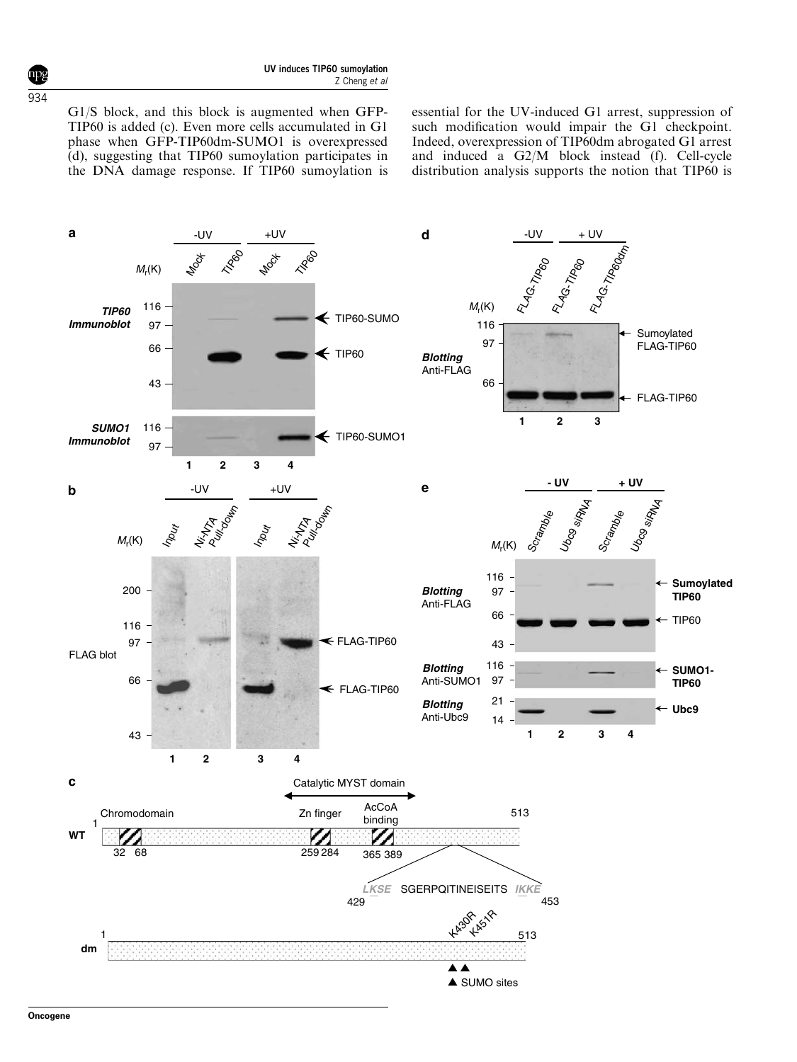G1/S block, and this block is augmented when GFP-TIP60 is added (c). Even more cells accumulated in G1 phase when GFP-TIP60dm-SUMO1 is overexpressed (d), suggesting that TIP60 sumoylation participates in the DNA damage response. If TIP60 sumoylation is essential for the UV-induced G1 arrest, suppression of such modification would impair the G1 checkpoint. Indeed, overexpression of TIP60dm abrogated G1 arrest and induced a  $G2/M$  block instead (f). Cell-cycle distribution analysis supports the notion that TIP60 is

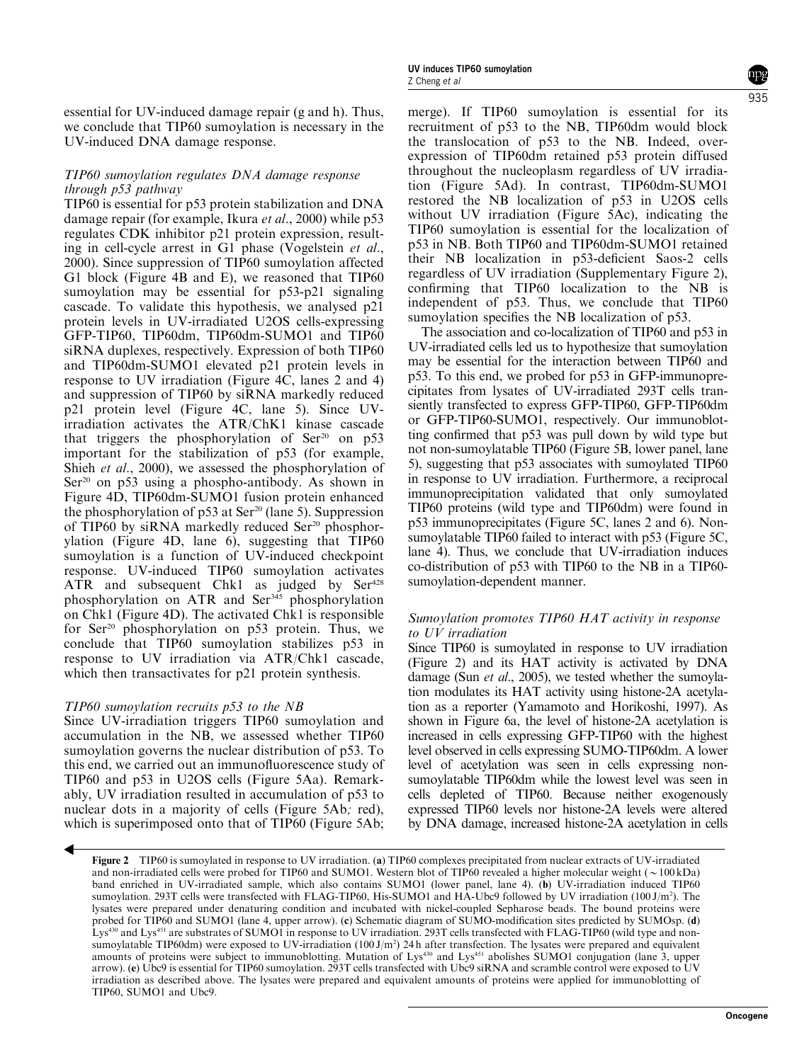essential for UV-induced damage repair (g and h). Thus, we conclude that TIP60 sumoylation is necessary in the UV-induced DNA damage response.

## TIP60 sumoylation regulates DNA damage response through p53 pathway

TIP60 is essential for p53 protein stabilization and DNA damage repair (for example, Ikura et al., 2000) while p53 regulates CDK inhibitor p21 protein expression, resulting in cell-cycle arrest in G1 phase (Vogelstein et al., 2000). Since suppression of TIP60 sumoylation affected G1 block (Figure 4B and E), we reasoned that TIP60 sumoylation may be essential for p53-p21 signaling cascade. To validate this hypothesis, we analysed p21 protein levels in UV-irradiated U2OS cells-expressing GFP-TIP60, TIP60dm, TIP60dm-SUMO1 and TIP60 siRNA duplexes, respectively. Expression of both TIP60 and TIP60dm-SUMO1 elevated p21 protein levels in response to UV irradiation (Figure 4C, lanes 2 and 4) and suppression of TIP60 by siRNA markedly reduced p21 protein level (Figure 4C, lane 5). Since UVirradiation activates the ATR/ChK1 kinase cascade that triggers the phosphorylation of  $\text{Ser}^{20}$  on p53 important for the stabilization of p53 (for example, Shieh et al., 2000), we assessed the phosphorylation of  $Ser<sup>20</sup>$  on p53 using a phospho-antibody. As shown in Figure 4D, TIP60dm-SUMO1 fusion protein enhanced the phosphorylation of  $p53$  at Ser<sup>20</sup> (lane 5). Suppression of TIP60 by siRNA markedly reduced  $\text{Ser}^{20}$  phosphorylation (Figure 4D, lane 6), suggesting that TIP60 sumoylation is a function of UV-induced checkpoint response. UV-induced TIP60 sumoylation activates ATR and subsequent Chk1 as judged by  $Ser^{428}$ phosphorylation on ATR and Ser<sup>345</sup> phosphorylation on Chk1 (Figure 4D). The activated Chk1 is responsible for Ser<sup>20</sup> phosphorylation on p53 protein. Thus, we conclude that TIP60 sumoylation stabilizes p53 in response to UV irradiation via ATR/Chk1 cascade, which then transactivates for p21 protein synthesis.

## TIP60 sumoylation recruits p53 to the NB

Since UV-irradiation triggers TIP60 sumoylation and accumulation in the NB, we assessed whether TIP60 sumoylation governs the nuclear distribution of p53. To this end, we carried out an immunofluorescence study of TIP60 and p53 in U2OS cells (Figure 5Aa). Remarkably, UV irradiation resulted in accumulation of p53 to nuclear dots in a majority of cells (Figure 5Ab; red), which is superimposed onto that of TIP60 (Figure 5Ab;

merge). If TIP60 sumoylation is essential for its recruitment of p53 to the NB, TIP60dm would block the translocation of p53 to the NB. Indeed, overexpression of TIP60dm retained p53 protein diffused throughout the nucleoplasm regardless of UV irradiation (Figure 5Ad). In contrast, TIP60dm-SUMO1 restored the NB localization of p53 in U2OS cells without UV irradiation (Figure 5Ac), indicating the TIP60 sumoylation is essential for the localization of p53 in NB. Both TIP60 and TIP60dm-SUMO1 retained their NB localization in p53-deficient Saos-2 cells regardless of UV irradiation (Supplementary Figure 2), confirming that TIP60 localization to the NB is independent of p53. Thus, we conclude that TIP60 sumoylation specifies the NB localization of p53.

The association and co-localization of TIP60 and p53 in UV-irradiated cells led us to hypothesize that sumoylation may be essential for the interaction between TIP60 and p53. To this end, we probed for p53 in GFP-immunoprecipitates from lysates of UV-irradiated 293T cells transiently transfected to express GFP-TIP60, GFP-TIP60dm or GFP-TIP60-SUMO1, respectively. Our immunoblotting confirmed that p53 was pull down by wild type but not non-sumoylatable TIP60 (Figure 5B, lower panel, lane 5), suggesting that p53 associates with sumoylated TIP60 in response to UV irradiation. Furthermore, a reciprocal immunoprecipitation validated that only sumoylated TIP60 proteins (wild type and TIP60dm) were found in p53 immunoprecipitates (Figure 5C, lanes 2 and 6). Nonsumoylatable TIP60 failed to interact with p53 (Figure 5C, lane 4). Thus, we conclude that UV-irradiation induces co-distribution of p53 with TIP60 to the NB in a TIP60 sumoylation-dependent manner.

## Sumoylation promotes TIP60 HAT activity in response to UV irradiation

Since TIP60 is sumoylated in response to UV irradiation (Figure 2) and its HAT activity is activated by DNA damage (Sun et al., 2005), we tested whether the sumoylation modulates its HAT activity using histone-2A acetylation as a reporter (Yamamoto and Horikoshi, 1997). As shown in Figure 6a, the level of histone-2A acetylation is increased in cells expressing GFP-TIP60 with the highest level observed in cells expressing SUMO-TIP60dm. A lower level of acetylation was seen in cells expressing nonsumoylatable TIP60dm while the lowest level was seen in cells depleted of TIP60. Because neither exogenously expressed TIP60 levels nor histone-2A levels were altered by DNA damage, increased histone-2A acetylation in cells 935

Figure 2 TIP60 is sumoylated in response to UV irradiation. (a) TIP60 complexes precipitated from nuclear extracts of UV-irradiated and non-irradiated cells were probed for TIP60 and SUMO1. Western blot of TIP60 revealed a higher molecular weight  $(\sim 100 \text{ kDa})$ band enriched in UV-irradiated sample, which also contains SUMO1 (lower panel, lane 4). (b) UV-irradiation induced TIP60 sumoylation. 293T cells were transfected with FLAG-TIP60, His-SUMO1 and HA-Ubc9 followed by UV irradiation (100 J/m<sup>2</sup>). The lysates were prepared under denaturing condition and incubated with nickel-coupled Sepharose beads. The bound proteins were probed for TIP60 and SUMO1 (lane 4, upper arrow). (c) Schematic diagram of SUMO-modification sites predicted by SUMOsp. (d) Lys<sup>430</sup> and Lys<sup>451</sup> are substrates of SUMO1 in response to UV irradiation. 293T cells transfected with FLAG-TIP60 (wild type and nonsumoylatable TIP60dm) were exposed to UV-irradiation  $(100 \text{ J/m}^2)$  24 h after transfection. The lysates were prepared and equivalent amounts of proteins were subject to immunoblotting. Mutation of Lys<sup>430</sup> and Lys<sup>451</sup> abolishes SUMO1 conjugation (lane 3, upper arrow). (e) Ubc9 is essential for TIP60 sumoylation. 293T cells transfected with Ubc9 siRNA and scramble control were exposed to UV irradiation as described above. The lysates were prepared and equivalent amounts of proteins were applied for immunoblotting of TIP60, SUMO1 and Ubc9.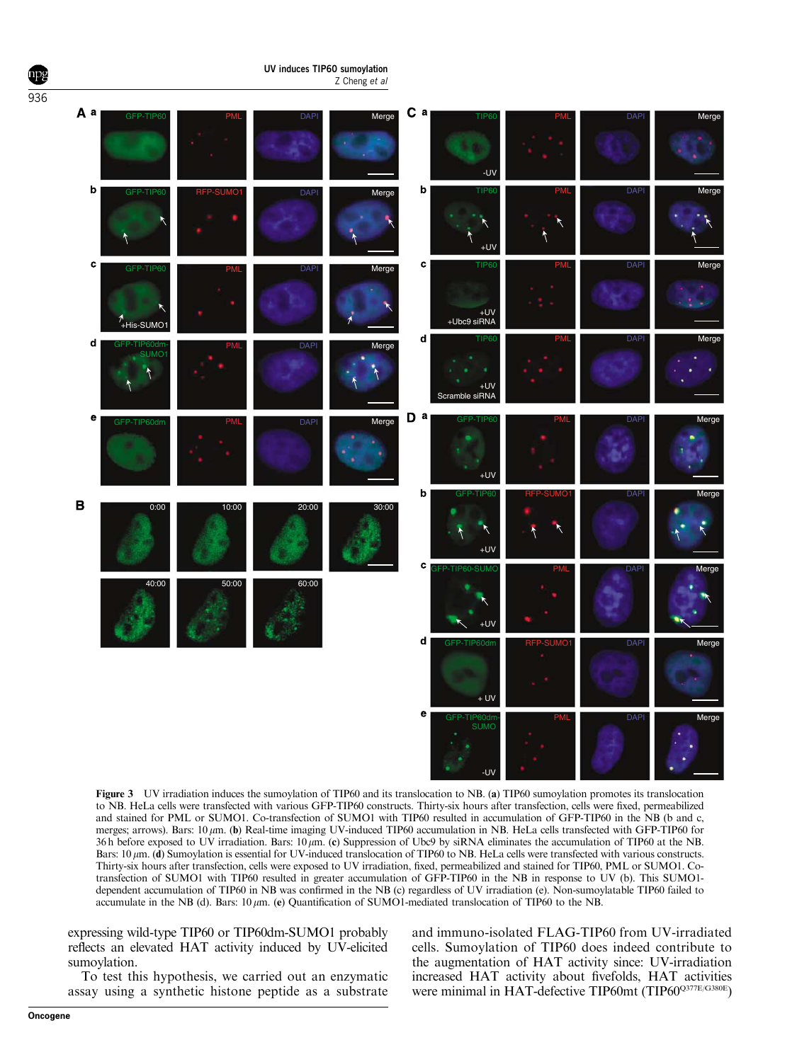

Figure 3 UV irradiation induces the sumoylation of TIP60 and its translocation to NB. (a) TIP60 sumoylation promotes its translocation to NB. HeLa cells were transfected with various GFP-TIP60 constructs. Thirty-six hours after transfection, cells were fixed, permeabilized and stained for PML or SUMO1. Co-transfection of SUMO1 with TIP60 resulted in accumulation of GFP-TIP60 in the NB (b and c, merges; arrows). Bars:  $10 \mu m$ . (b) Real-time imaging UV-induced TIP60 accumulation in NB. HeLa cells transfected with GFP-TIP60 for 36 h before exposed to UV irradiation. Bars:  $10 \mu m$ . (c) Suppression of Ubc9 by siRNA eliminates the accumulation of TIP60 at the NB. Bars: 10  $\mu$ m. (d) Sumoylation is essential for UV-induced translocation of TIP60 to NB. HeLa cells were transfected with various constructs. Thirty-six hours after transfection, cells were exposed to UV irradiation, fixed, permeabilized and stained for TIP60, PML or SUMO1. Cotransfection of SUMO1 with TIP60 resulted in greater accumulation of GFP-TIP60 in the NB in response to UV (b). This SUMO1 dependent accumulation of TIP60 in NB was confirmed in the NB (c) regardless of UV irradiation (e). Non-sumoylatable TIP60 failed to accumulate in the NB (d). Bars:  $10 \mu m$ . (e) Quantification of SUMO1-mediated translocation of TIP60 to the NB.

expressing wild-type TIP60 or TIP60dm-SUMO1 probably reflects an elevated HAT activity induced by UV-elicited sumoylation.

To test this hypothesis, we carried out an enzymatic assay using a synthetic histone peptide as a substrate and immuno-isolated FLAG-TIP60 from UV-irradiated cells. Sumoylation of TIP60 does indeed contribute to the augmentation of HAT activity since: UV-irradiation increased HAT activity about fivefolds, HAT activities were minimal in HAT-defective TIP60mt (TIP60Q377E/G380E)

936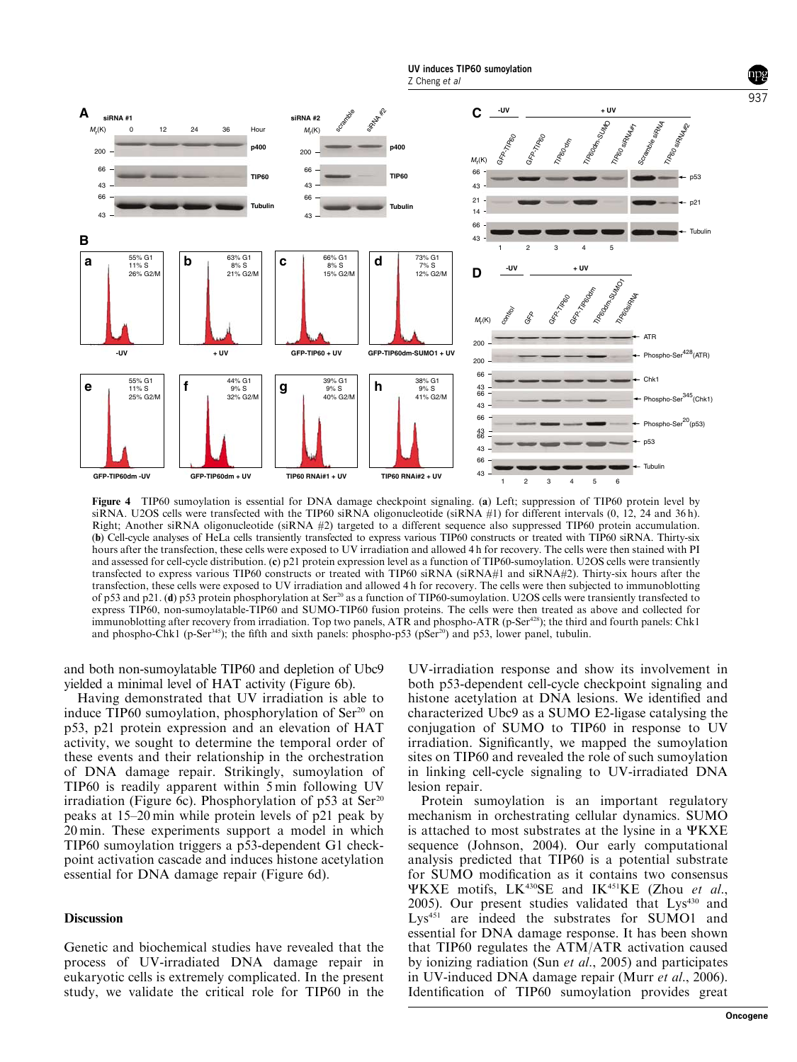

Figure 4 TIP60 sumoylation is essential for DNA damage checkpoint signaling. (a) Left; suppression of TIP60 protein level by siRNA. U2OS cells were transfected with the TIP60 siRNA oligonucleotide (siRNA #1) for different intervals (0, 12, 24 and 36 h). Right; Another siRNA oligonucleotide (siRNA #2) targeted to a different sequence also suppressed TIP60 protein accumulation. (b) Cell-cycle analyses of HeLa cells transiently transfected to express various TIP60 constructs or treated with TIP60 siRNA. Thirty-six hours after the transfection, these cells were exposed to UV irradiation and allowed 4 h for recovery. The cells were then stained with PI and assessed for cell-cycle distribution. (c) p21 protein expression level as a function of TIP60-sumoylation. U2OS cells were transiently transfected to express various TIP60 constructs or treated with TIP60 siRNA (siRNA#1 and siRNA#2). Thirty-six hours after the transfection, these cells were exposed to UV irradiation and allowed 4 h for recovery. The cells were then subjected to immunoblotting of p53 and p21. (d) p53 protein phosphorylation at Ser20 as a function of TIP60-sumoylation. U2OS cells were transiently transfected to express TIP60, non-sumoylatable-TIP60 and SUMO-TIP60 fusion proteins. The cells were then treated as above and collected for immunoblotting after recovery from irradiation. Top two panels, ATR and phospho-ATR (p-Ser<sup>428</sup>); the third and fourth panels: Chk1 and phospho-Chk1 (p-Ser<sup>345</sup>); the fifth and sixth panels: phospho-p53 (pSer<sup>20</sup>) and p53, lower panel, tubulin.

and both non-sumoylatable TIP60 and depletion of Ubc9 yielded a minimal level of HAT activity (Figure 6b).

Having demonstrated that UV irradiation is able to induce TIP60 sumoylation, phosphorylation of Ser<sup>20</sup> on p53, p21 protein expression and an elevation of HAT activity, we sought to determine the temporal order of these events and their relationship in the orchestration of DNA damage repair. Strikingly, sumoylation of TIP60 is readily apparent within 5 min following UV irradiation (Figure 6c). Phosphorylation of  $p53$  at Ser<sup>20</sup> peaks at 15–20 min while protein levels of p21 peak by 20 min. These experiments support a model in which TIP60 sumoylation triggers a p53-dependent G1 checkpoint activation cascade and induces histone acetylation essential for DNA damage repair (Figure 6d).

#### **Discussion**

Genetic and biochemical studies have revealed that the process of UV-irradiated DNA damage repair in eukaryotic cells is extremely complicated. In the present study, we validate the critical role for TIP60 in the

UV-irradiation response and show its involvement in both p53-dependent cell-cycle checkpoint signaling and histone acetylation at DNA lesions. We identified and characterized Ubc9 as a SUMO E2-ligase catalysing the conjugation of SUMO to TIP60 in response to UV irradiation. Significantly, we mapped the sumoylation sites on TIP60 and revealed the role of such sumoylation in linking cell-cycle signaling to UV-irradiated DNA lesion repair.

Protein sumoylation is an important regulatory mechanism in orchestrating cellular dynamics. SUMO is attached to most substrates at the lysine in a  $\Psi$ KXE sequence (Johnson, 2004). Our early computational analysis predicted that TIP60 is a potential substrate for SUMO modification as it contains two consensus YKXE motifs, LK<sup>430</sup>SE and IK<sup>451</sup>KE (Zhou et al., 2005). Our present studies validated that Lys<sup>430</sup> and Lys<sup>451</sup> are indeed the substrates for SUMO1 and essential for DNA damage response. It has been shown that TIP60 regulates the ATM/ATR activation caused by ionizing radiation (Sun et al., 2005) and participates in UV-induced DNA damage repair (Murr et al., 2006). Identification of TIP60 sumoylation provides great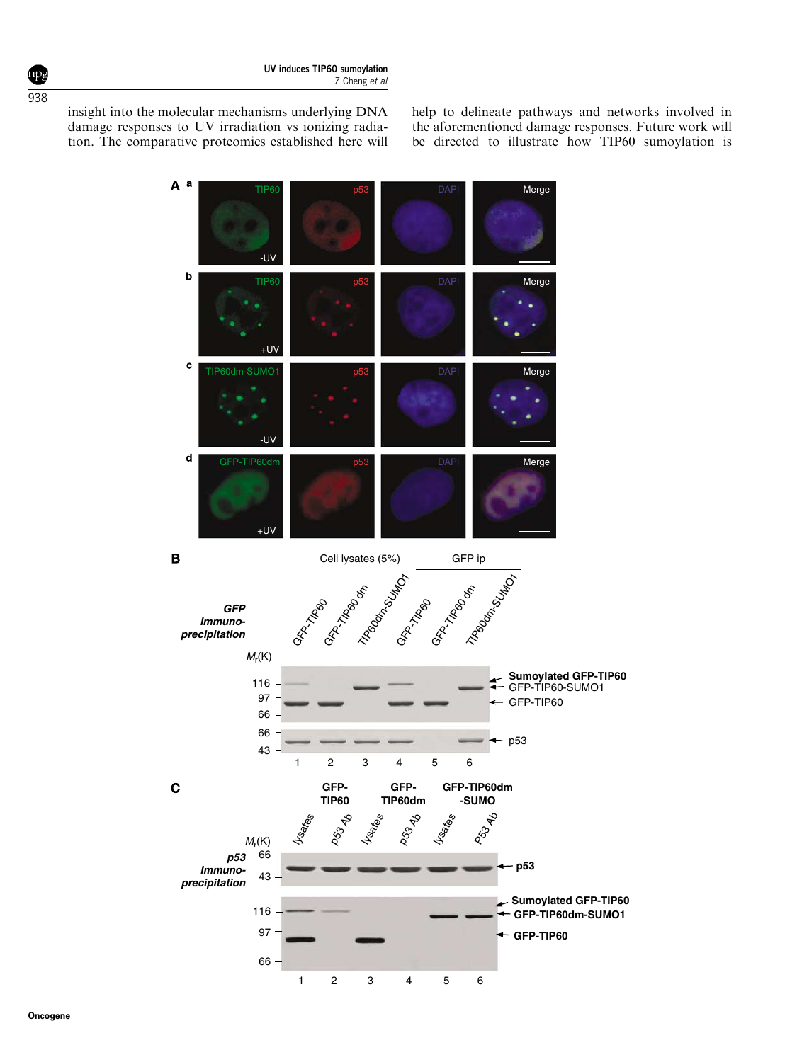insight into the molecular mechanisms underlying DNA damage responses to UV irradiation vs ionizing radiation. The comparative proteomics established here will help to delineate pathways and networks involved in the aforementioned damage responses. Future work will be directed to illustrate how TIP60 sumoylation is

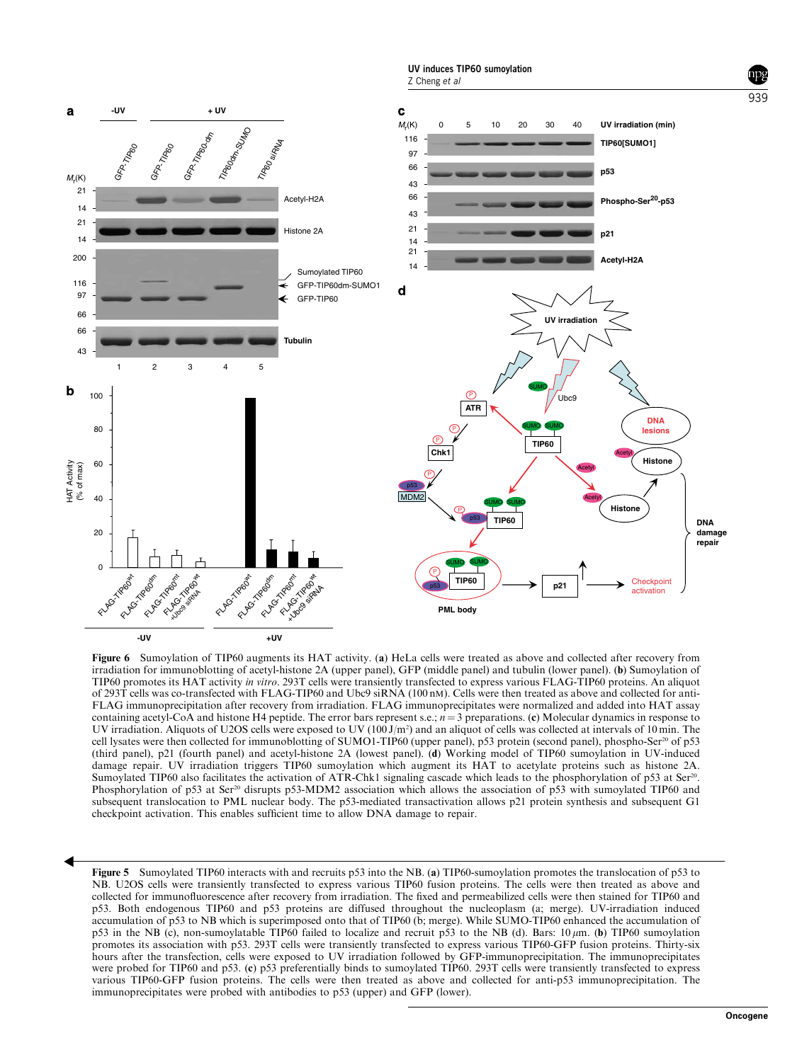

Figure 6 Sumoylation of TIP60 augments its HAT activity. (a) HeLa cells were treated as above and collected after recovery from irradiation for immunoblotting of acetyl-histone 2A (upper panel), GFP (middle panel) and tubulin (lower panel). (b) Sumoylation of TIP60 promotes its HAT activity in vitro. 293T cells were transiently transfected to express various FLAG-TIP60 proteins. An aliquot of 293T cells was co-transfected with FLAG-TIP60 and Ubc9 siRNA (100 nM). Cells were then treated as above and collected for anti-FLAG immunoprecipitation after recovery from irradiation. FLAG immunoprecipitates were normalized and added into HAT assay containing acetyl-CoA and histone H4 peptide. The error bars represent s.e.;  $n = 3$  preparations. (c) Molecular dynamics in response to UV irradiation. Aliquots of U2OS cells were exposed to UV (100 J/m<sup>2</sup>) and an aliquot of cells was collected at intervals of 10 min. The cell lysates were then collected for immunoblotting of SUMO1-TIP60 (upper panel), p53 protein (second panel), phospho-Ser<sup>20</sup> of p53 (third panel), p21 (fourth panel) and acetyl-histone 2A (lowest panel). (d) Working model of TIP60 sumoylation in UV-induced damage repair. UV irradiation triggers TIP60 sumoylation which augment its HAT to acetylate proteins such as histone 2A. Sumoylated TIP60 also facilitates the activation of ATR-Chk1 signaling cascade which leads to the phosphorylation of p53 at Ser<sup>20</sup>. Phosphorylation of p53 at Ser<sup>20</sup> disrupts p53-MDM2 association which allows the association of p53 with sumoylated TIP60 and subsequent translocation to PML nuclear body. The p53-mediated transactivation allows p21 protein synthesis and subsequent G1 checkpoint activation. This enables sufficient time to allow DNA damage to repair.

Figure 5 Sumoylated TIP60 interacts with and recruits p53 into the NB. (a) TIP60-sumoylation promotes the translocation of p53 to NB. U2OS cells were transiently transfected to express various TIP60 fusion proteins. The cells were then treated as above and collected for immunofluorescence after recovery from irradiation. The fixed and permeabilized cells were then stained for TIP60 and p53. Both endogenous TIP60 and p53 proteins are diffused throughout the nucleoplasm (a; merge). UV-irradiation induced accumulation of p53 to NB which is superimposed onto that of TIP60 (b; merge). While SUMO-TIP60 enhanced the accumulation of p53 in the NB (c), non-sumoylatable TIP60 failed to localize and recruit p53 to the NB (d). Bars: 10 mm. (b) TIP60 sumoylation promotes its association with p53. 293T cells were transiently transfected to express various TIP60-GFP fusion proteins. Thirty-six hours after the transfection, cells were exposed to UV irradiation followed by GFP-immunoprecipitation. The immunoprecipitates were probed for TIP60 and p53. (c) p53 preferentially binds to sumoylated TIP60. 293T cells were transiently transfected to express various TIP60-GFP fusion proteins. The cells were then treated as above and collected for anti-p53 immunoprecipitation. The immunoprecipitates were probed with antibodies to p53 (upper) and GFP (lower).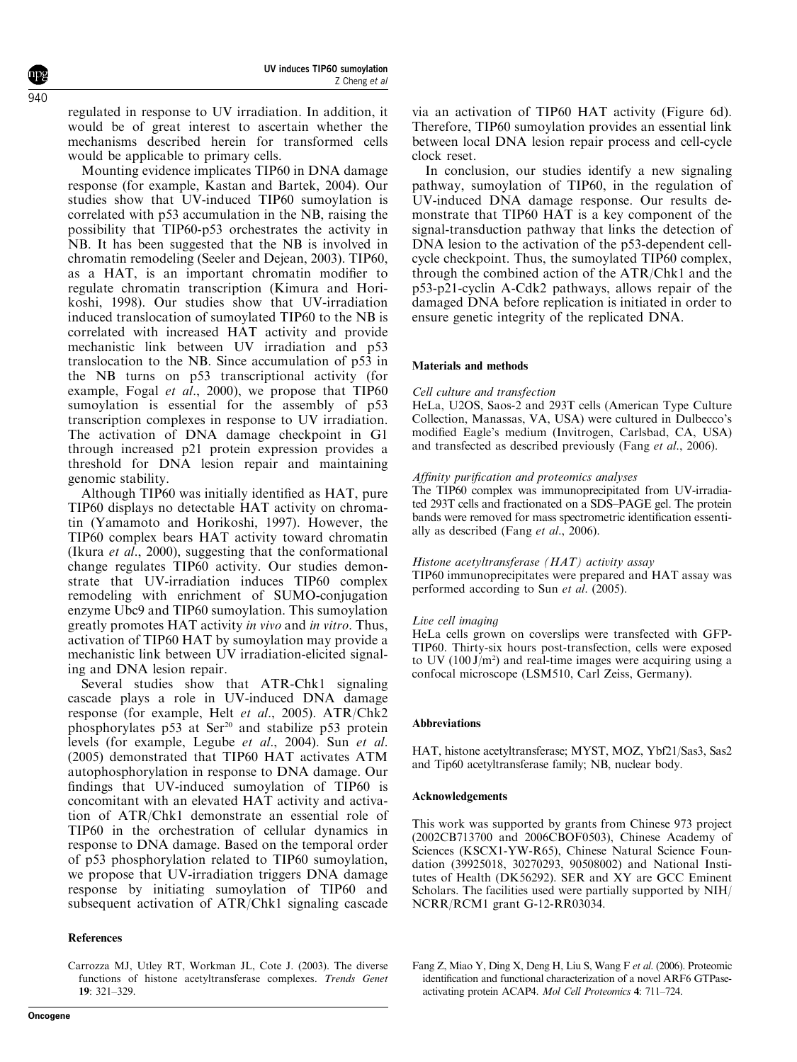regulated in response to UV irradiation. In addition, it would be of great interest to ascertain whether the mechanisms described herein for transformed cells would be applicable to primary cells.

Mounting evidence implicates TIP60 in DNA damage response (for example, Kastan and Bartek, 2004). Our studies show that UV-induced TIP60 sumoylation is correlated with p53 accumulation in the NB, raising the possibility that TIP60-p53 orchestrates the activity in NB. It has been suggested that the NB is involved in chromatin remodeling (Seeler and Dejean, 2003). TIP60, as a HAT, is an important chromatin modifier to regulate chromatin transcription (Kimura and Horikoshi, 1998). Our studies show that UV-irradiation induced translocation of sumoylated TIP60 to the NB is correlated with increased HAT activity and provide mechanistic link between UV irradiation and p53 translocation to the NB. Since accumulation of p53 in the NB turns on p53 transcriptional activity (for example, Fogal et al., 2000), we propose that TIP60 sumoylation is essential for the assembly of p53 transcription complexes in response to UV irradiation. The activation of DNA damage checkpoint in G1 through increased p21 protein expression provides a threshold for DNA lesion repair and maintaining genomic stability.

Although TIP60 was initially identified as HAT, pure TIP60 displays no detectable HAT activity on chromatin (Yamamoto and Horikoshi, 1997). However, the TIP60 complex bears HAT activity toward chromatin (Ikura et al., 2000), suggesting that the conformational change regulates TIP60 activity. Our studies demonstrate that UV-irradiation induces TIP60 complex remodeling with enrichment of SUMO-conjugation enzyme Ubc9 and TIP60 sumoylation. This sumoylation greatly promotes HAT activity in vivo and in vitro. Thus, activation of TIP60 HAT by sumoylation may provide a mechanistic link between UV irradiation-elicited signaling and DNA lesion repair.

Several studies show that ATR-Chk1 signaling cascade plays a role in UV-induced DNA damage response (for example, Helt et al., 2005). ATR/Chk2 phosphorylates p53 at Ser<sup>20</sup> and stabilize p53 protein levels (for example, Legube et al., 2004). Sun et al. (2005) demonstrated that TIP60 HAT activates ATM autophosphorylation in response to DNA damage. Our findings that UV-induced sumoylation of TIP60 is concomitant with an elevated HAT activity and activation of ATR/Chk1 demonstrate an essential role of TIP60 in the orchestration of cellular dynamics in response to DNA damage. Based on the temporal order of p53 phosphorylation related to TIP60 sumoylation, we propose that UV-irradiation triggers DNA damage response by initiating sumoylation of TIP60 and subsequent activation of ATR/Chk1 signaling cascade

## References

via an activation of TIP60 HAT activity (Figure 6d). Therefore, TIP60 sumoylation provides an essential link between local DNA lesion repair process and cell-cycle clock reset.

In conclusion, our studies identify a new signaling pathway, sumoylation of TIP60, in the regulation of UV-induced DNA damage response. Our results demonstrate that TIP60 HAT is a key component of the signal-transduction pathway that links the detection of DNA lesion to the activation of the p53-dependent cellcycle checkpoint. Thus, the sumoylated TIP60 complex, through the combined action of the ATR/Chk1 and the p53-p21-cyclin A-Cdk2 pathways, allows repair of the damaged DNA before replication is initiated in order to ensure genetic integrity of the replicated DNA.

## Materials and methods

## Cell culture and transfection

HeLa, U2OS, Saos-2 and 293T cells (American Type Culture Collection, Manassas, VA, USA) were cultured in Dulbecco's modified Eagle's medium (Invitrogen, Carlsbad, CA, USA) and transfected as described previously (Fang et al., 2006).

## Affinity purification and proteomics analyses

The TIP60 complex was immunoprecipitated from UV-irradiated 293T cells and fractionated on a SDS–PAGE gel. The protein bands were removed for mass spectrometric identification essentially as described (Fang et al., 2006).

#### Histone acetyltransferase (HAT) activity assay

TIP60 immunoprecipitates were prepared and HAT assay was performed according to Sun et al. (2005).

## Live cell imaging

HeLa cells grown on coverslips were transfected with GFP-TIP60. Thirty-six hours post-transfection, cells were exposed to UV  $(100 \text{ J/m}^2)$  and real-time images were acquiring using a confocal microscope (LSM510, Carl Zeiss, Germany).

## Abbreviations

HAT, histone acetyltransferase; MYST, MOZ, Ybf21/Sas3, Sas2 and Tip60 acetyltransferase family; NB, nuclear body.

#### Acknowledgements

This work was supported by grants from Chinese 973 project (2002CB713700 and 2006CBOF0503), Chinese Academy of Sciences (KSCX1-YW-R65), Chinese Natural Science Foundation (39925018, 30270293, 90508002) and National Institutes of Health (DK56292). SER and XY are GCC Eminent Scholars. The facilities used were partially supported by NIH/ NCRR/RCM1 grant G-12-RR03034.

Carrozza MJ, Utley RT, Workman JL, Cote J. (2003). The diverse functions of histone acetyltransferase complexes. Trends Genet 19: 321–329.

Fang Z, Miao Y, Ding X, Deng H, Liu S, Wang F et al. (2006). Proteomic identification and functional characterization of a novel ARF6 GTPaseactivating protein ACAP4. Mol Cell Proteomics 4: 711–724.